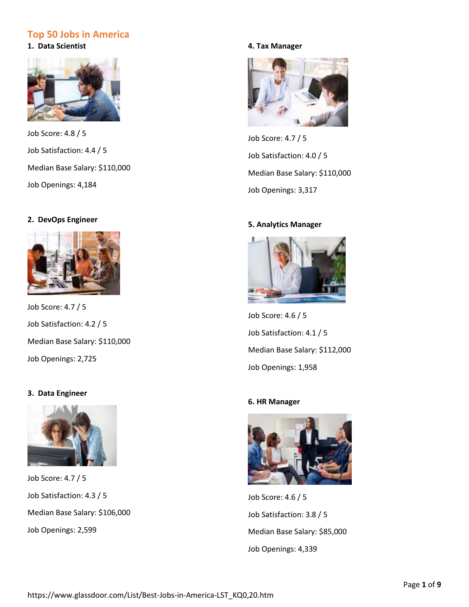# **Top 50 Jobs in America**

**1. Data Scientist**



Job Score: 4.8 / 5 Job Satisfaction: 4.4 / 5 Median Base Salary[: \\$110,000](https://www.glassdoor.com/Salaries/data-scientist-salary-SRCH_KO0,14.htm#ja) Job Openings: [4,184](https://www.glassdoor.com/Job/data-scientist-jobs-SRCH_KO0,14.htm#ja)

# **2. DevOps Engineer**



Job Score: 4.7 / 5 Job Satisfaction: 4.2 / 5 Median Base Salary[: \\$110,000](https://www.glassdoor.com/Salaries/devops-engineer-salary-SRCH_KO0,15.htm#ja) Job Openings: [2,725](https://www.glassdoor.com/Job/devops-engineer-jobs-SRCH_KO0,15.htm#ja)

# **3. Data Engineer**



Job Score: 4.7 / 5 Job Satisfaction: 4.3 / 5 Median Base Salary[: \\$106,000](https://www.glassdoor.com/Salaries/data-engineer-salary-SRCH_KO0,13.htm#ja) Job Openings: [2,599](https://www.glassdoor.com/Job/data-engineer-jobs-SRCH_KO0,13.htm#ja)

# **4. Tax Manager**



Job Score: 4.7 / 5 Job Satisfaction: 4.0 / 5 Median Base Salary[: \\$110,000](https://www.glassdoor.com/Salaries/tax-manager-salary-SRCH_KO0,11.htm#ja) Job Openings: [3,317](https://www.glassdoor.com/Job/tax-manager-jobs-SRCH_KO0,11.htm#ja)

# **5. Analytics Manager**



Job Score: 4.6 / 5 Job Satisfaction: 4.1 / 5 Median Base Salary[: \\$112,000](https://www.glassdoor.com/Salaries/analytics-manager-salary-SRCH_KO0,17.htm#ja) Job Openings: [1,958](https://www.glassdoor.com/Job/analytics-manager-jobs-SRCH_KO0,17.htm#ja)

# **6. HR Manager**



Job Score: 4.6 / 5 Job Satisfaction: 3.8 / 5 Median Base Salary[: \\$85,000](https://www.glassdoor.com/Salaries/hr-manager-salary-SRCH_KO0,10.htm#ja) Job Openings: [4,339](https://www.glassdoor.com/Job/hr-manager-jobs-SRCH_KO0,10.htm#ja)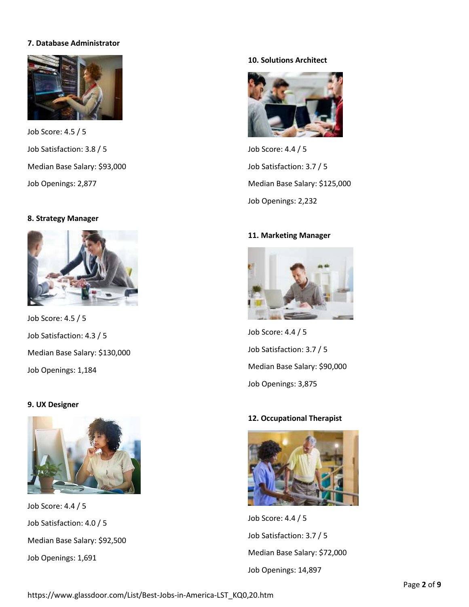# **7. Database Administrator**



Job Score: 4.5 / 5 Job Satisfaction: 3.8 / 5 Median Base Salary[: \\$93,000](https://www.glassdoor.com/Salaries/database-administrator-salary-SRCH_KO0,22.htm#ja) Job Openings: [2,877](https://www.glassdoor.com/Job/database-administrator-jobs-SRCH_KO0,22.htm#ja)

## **8. Strategy Manager**



Job Score: 4.5 / 5 Job Satisfaction: 4.3 / 5 Median Base Salary[: \\$130,000](https://www.glassdoor.com/Salaries/strategy-manager-salary-SRCH_KO0,16.htm#ja) Job Openings: [1,184](https://www.glassdoor.com/Job/strategy-manager-jobs-SRCH_KO0,16.htm#ja)

## **9. UX Designer**



Job Score: 4.4 / 5 Job Satisfaction: 4.0 / 5 Median Base Salary[: \\$92,500](https://www.glassdoor.com/Salaries/ux-designer-salary-SRCH_KO0,11.htm#ja) Job Openings: [1,691](https://www.glassdoor.com/Job/ux-designer-jobs-SRCH_KO0,11.htm#ja)

# **10. Solutions Architect**



Job Score: 4.4 / 5 Job Satisfaction: 3.7 / 5 Median Base Salary[: \\$125,000](https://www.glassdoor.com/Salaries/solutions-architect-salary-SRCH_KO0,19.htm#ja) Job Openings: [2,232](https://www.glassdoor.com/Job/solutions-architect-jobs-SRCH_KO0,19.htm#ja)

## **11. Marketing Manager**



Job Score: 4.4 / 5 Job Satisfaction: 3.7 / 5 Median Base Salary[: \\$90,000](https://www.glassdoor.com/Salaries/marketing-manager-salary-SRCH_KO0,17.htm#ja) Job Openings: [3,875](https://www.glassdoor.com/Job/marketing-manager-jobs-SRCH_KO0,17.htm#ja)

## **12. Occupational Therapist**



Job Score: 4.4 / 5 Job Satisfaction: 3.7 / 5 Median Base Salary[: \\$72,000](https://www.glassdoor.com/Salaries/occupational-therapist-salary-SRCH_KO0,22.htm#ja) Job Openings: [14,897](https://www.glassdoor.com/Job/occupational-therapist-jobs-SRCH_KO0,22.htm#ja)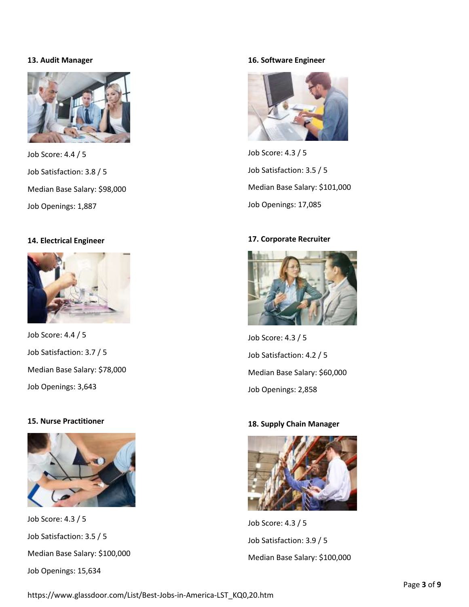## **13. Audit Manager**



Job Score: 4.4 / 5 Job Satisfaction: 3.8 / 5 Median Base Salary[: \\$98,000](https://www.glassdoor.com/Salaries/audit-manager-salary-SRCH_KO0,13.htm#ja) Job Openings: [1,887](https://www.glassdoor.com/Job/audit-manager-jobs-SRCH_KO0,13.htm#ja)

## **14. Electrical Engineer**



Job Score: 4.4 / 5 Job Satisfaction: 3.7 / 5 Median Base Salary[: \\$78,000](https://www.glassdoor.com/Salaries/electrical-engineer-salary-SRCH_KO0,19.htm#ja) Job Openings: [3,643](https://www.glassdoor.com/Job/electrical-engineer-jobs-SRCH_KO0,19.htm#ja)

## **15. Nurse Practitioner**



Job Score: 4.3 / 5 Job Satisfaction: 3.5 / 5 Median Base Salary[: \\$100,000](https://www.glassdoor.com/Salaries/nurse-practitioner-salary-SRCH_KO0,18.htm#ja) Job Openings: [15,634](https://www.glassdoor.com/Job/nurse-practitioner-jobs-SRCH_KO0,18.htm#ja)

## **16. Software Engineer**



Job Score: 4.3 / 5 Job Satisfaction: 3.5 / 5 Median Base Salary[: \\$101,000](https://www.glassdoor.com/Salaries/software-engineer-salary-SRCH_KO0,17.htm#ja) Job Openings: [17,085](https://www.glassdoor.com/Job/software-engineer-jobs-SRCH_KO0,17.htm#ja)

## **17. Corporate Recruiter**



Job Score: 4.3 / 5 Job Satisfaction: 4.2 / 5 Median Base Salary[: \\$60,000](https://www.glassdoor.com/Salaries/corporate-recruiter-salary-SRCH_KO0,19.htm#ja) Job Openings: [2,858](https://www.glassdoor.com/Job/corporate-recruiter-jobs-SRCH_KO0,19.htm#ja)

#### **18. Supply Chain Manager**



Job Score: 4.3 / 5 Job Satisfaction: 3.9 / 5 Median Base Salary[: \\$100,000](https://www.glassdoor.com/Salaries/supply-chain-manager-salary-SRCH_KO0,20.htm#ja)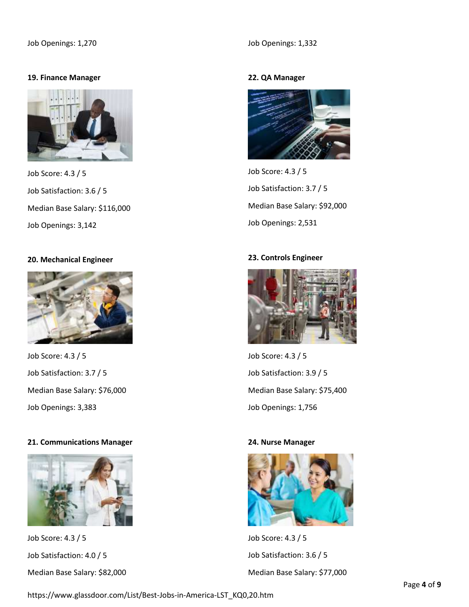## **19. Finance Manager**



Job Score: 4.3 / 5 Job Satisfaction: 3.6 / 5 Median Base Salary[: \\$116,000](https://www.glassdoor.com/Salaries/finance-manager-salary-SRCH_KO0,15.htm#ja) Job Openings: [3,142](https://www.glassdoor.com/Job/finance-manager-jobs-SRCH_KO0,15.htm#ja)

## **20. Mechanical Engineer**



Job Score: 4.3 / 5 Job Satisfaction: 3.7 / 5 Median Base Salary[: \\$76,000](https://www.glassdoor.com/Salaries/mechanical-engineer-salary-SRCH_KO0,19.htm#ja) Job Openings: [3,383](https://www.glassdoor.com/Job/mechanical-engineer-jobs-SRCH_KO0,19.htm#ja)

# **21. Communications Manager**



Job Score: 4.3 / 5 Job Satisfaction: 4.0 / 5 Median Base Salary[: \\$82,000](https://www.glassdoor.com/Salaries/communications-manager-salary-SRCH_KO0,22.htm#ja)

## **22. QA Manager**



Job Score: 4.3 / 5 Job Satisfaction: 3.7 / 5 Median Base Salary[: \\$92,000](https://www.glassdoor.com/Salaries/qa-manager-salary-SRCH_KO0,10.htm#ja) Job Openings: [2,531](https://www.glassdoor.com/Job/qa-manager-jobs-SRCH_KO0,10.htm#ja)

# **23. Controls Engineer**



Job Score: 4.3 / 5 Job Satisfaction: 3.9 / 5 Median Base Salary[: \\$75,400](https://www.glassdoor.com/Salaries/controls-engineer-salary-SRCH_KO0,17.htm#ja) Job Openings: [1,756](https://www.glassdoor.com/Job/controls-engineer-jobs-SRCH_KO0,17.htm#ja)

## **24. Nurse Manager**



Job Score: 4.3 / 5 Job Satisfaction: 3.6 / 5 Median Base Salary[: \\$77,000](https://www.glassdoor.com/Salaries/nurse-manager-salary-SRCH_KO0,13.htm#ja)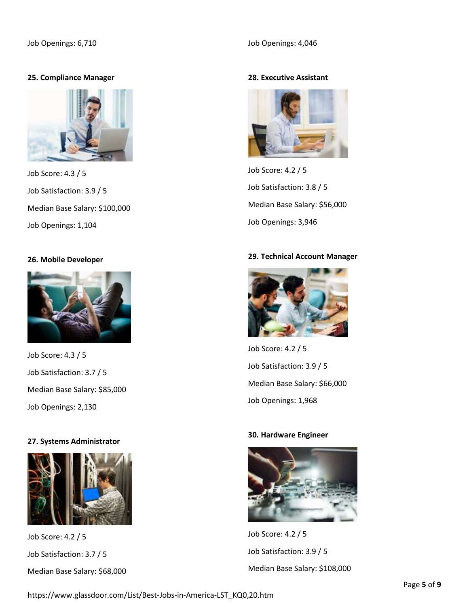# **25. Compliance Manager**



Job Score: 4.3 / 5 Job Satisfaction: 3.9 / 5 Median Base Salary[: \\$100,000](https://www.glassdoor.com/Salaries/compliance-manager-salary-SRCH_KO0,18.htm#ja) Job Openings: [1,104](https://www.glassdoor.com/Job/compliance-manager-jobs-SRCH_KO0,18.htm#ja)

#### **26. Mobile Developer**



Job Score: 4.3 / 5 Job Satisfaction: 3.7 / 5 Median Base Salary[: \\$85,000](https://www.glassdoor.com/Salaries/mobile-developer-salary-SRCH_KO0,16.htm#ja) Job Openings: [2,130](https://www.glassdoor.com/Job/mobile-developer-jobs-SRCH_KO0,16.htm#ja)

## **27. Systems Administrator**



Job Score: 4.2 / 5 Job Satisfaction: 3.7 / 5 Median Base Salary[: \\$68,000](https://www.glassdoor.com/Salaries/systems-administrator-salary-SRCH_KO0,21.htm#ja)

# **28. Executive Assistant**



Job Score: 4.2 / 5 Job Satisfaction: 3.8 / 5 Median Base Salary[: \\$56,000](https://www.glassdoor.com/Salaries/executive-assistant-salary-SRCH_KO0,19.htm#ja) Job Openings: [3,946](https://www.glassdoor.com/Job/executive-assistant-jobs-SRCH_KO0,19.htm#ja)

## **29. Technical Account Manager**



Job Score: 4.2 / 5 Job Satisfaction: 3.9 / 5 Median Base Salary[: \\$66,000](https://www.glassdoor.com/Salaries/technical-account-manager-salary-SRCH_KO0,25.htm#ja) Job Openings: [1,968](https://www.glassdoor.com/Job/technical-account-manager-jobs-SRCH_KO0,25.htm#ja)

#### **30. Hardware Engineer**



Job Score: 4.2 / 5 Job Satisfaction: 3.9 / 5 Median Base Salary[: \\$108,000](https://www.glassdoor.com/Salaries/hardware-engineer-salary-SRCH_KO0,17.htm#ja)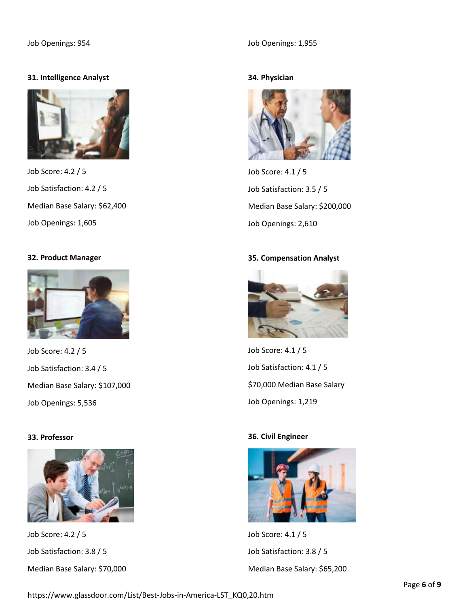# **31. Intelligence Analyst**



Job Score: 4.2 / 5 Job Satisfaction: 4.2 / 5 Median Base Salary[: \\$62,400](https://www.glassdoor.com/Salaries/intelligence-analyst-salary-SRCH_KO0,20.htm#ja) Job Openings: [1,605](https://www.glassdoor.com/Job/intelligence-analyst-jobs-SRCH_KO0,20.htm#ja)

## **32. Product Manager**



Job Score: 4.2 / 5 Job Satisfaction: 3.4 / 5 Median Base Salary[: \\$107,000](https://www.glassdoor.com/Salaries/product-manager-salary-SRCH_KO0,15.htm#ja) Job Openings: [5,536](https://www.glassdoor.com/Job/product-manager-jobs-SRCH_KO0,15.htm#ja)

## **33. Professor**



Job Score: 4.2 / 5 Job Satisfaction: 3.8 / 5 Median Base Salary[: \\$70,000](https://www.glassdoor.com/Salaries/professor-salary-SRCH_KO0,9.htm#ja)

## Job Openings: [1,955](https://www.glassdoor.com/Job/professor-jobs-SRCH_KO0,9.htm#ja)

# **34. Physician**



Job Score: 4.1 / 5 Job Satisfaction: 3.5 / 5 Median Base Salary[: \\$200,000](https://www.glassdoor.com/Salaries/physician-salary-SRCH_KO0,9.htm#ja) Job Openings: [2,610](https://www.glassdoor.com/Job/physician-jobs-SRCH_KO0,9.htm#ja)

#### **35. Compensation Analyst**



Job Score: 4.1 / 5 Job Satisfaction: 4.1 / 5 [\\$70,000](https://www.glassdoor.com/Salaries/compensation-analyst-salary-SRCH_KO0,20.htm#ja) Median Base Salary Job Openings: [1,219](https://www.glassdoor.com/Job/compensation-analyst-jobs-SRCH_KO0,20.htm#ja)

## **36. Civil Engineer**



Job Score: 4.1 / 5 Job Satisfaction: 3.8 / 5 Median Base Salary[: \\$65,200](https://www.glassdoor.com/Salaries/civil-engineer-salary-SRCH_KO0,14.htm#ja)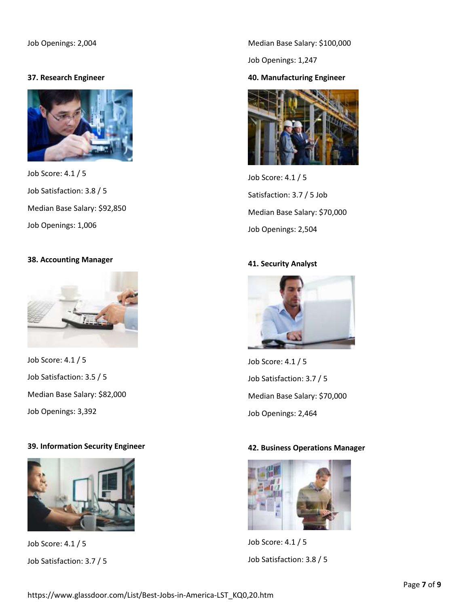## **37. Research Engineer**



Job Score: 4.1 / 5 Job Satisfaction: 3.8 / 5 Median Base Salary[: \\$92,850](https://www.glassdoor.com/Salaries/research-engineer-salary-SRCH_KO0,17.htm#ja) Job Openings: [1,006](https://www.glassdoor.com/Job/research-engineer-jobs-SRCH_KO0,17.htm#ja)

## **38. Accounting Manager**



Job Score: 4.1 / 5 Job Satisfaction: 3.5 / 5 Median Base Salary[: \\$82,000](https://www.glassdoor.com/Salaries/accounting-manager-salary-SRCH_KO0,18.htm#ja) Job Openings: [3,392](https://www.glassdoor.com/Job/accounting-manager-jobs-SRCH_KO0,18.htm#ja)

## **39. Information Security Engineer**



Job Score: 4.1 / 5 Job Satisfaction: 3.7 / 5

Median Base Salary[: \\$100,000](https://www.glassdoor.com/Salaries/information-security-engineer-salary-SRCH_KO0,29.htm#ja)

Job Openings: [1,247](https://www.glassdoor.com/Job/information-security-engineer-jobs-SRCH_KO0,29.htm#ja)

# **40. Manufacturing Engineer**



Job Score: 4.1 / 5 Satisfaction: 3.7 / 5 Job Median Base Salary[: \\$70,000](https://www.glassdoor.com/Salaries/manufacturing-engineer-salary-SRCH_KO0,22.htm#ja) Job Openings: [2,504](https://www.glassdoor.com/Job/manufacturing-engineer-jobs-SRCH_KO0,22.htm#ja)

## **41. Security Analyst**



Job Score: 4.1 / 5 Job Satisfaction: 3.7 / 5 Median Base Salary[: \\$70,000](https://www.glassdoor.com/Salaries/security-analyst-salary-SRCH_KO0,16.htm#ja) Job Openings: [2,464](https://www.glassdoor.com/Job/security-analyst-jobs-SRCH_KO0,16.htm#ja)

# **42. Business Operations Manager**



Job Score: 4.1 / 5 Job Satisfaction: 3.8 / 5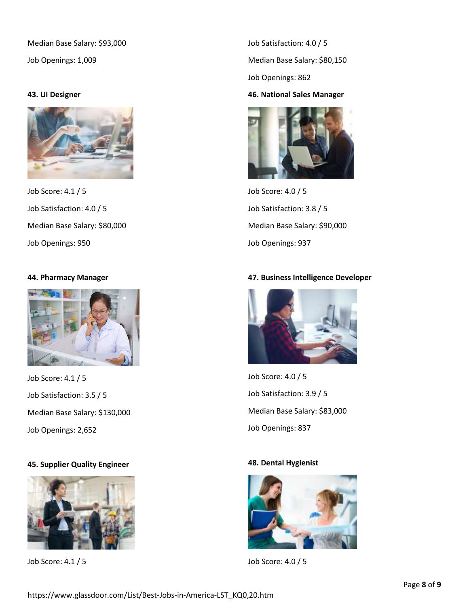Median Base Salary[: \\$93,000](https://www.glassdoor.com/Salaries/business-operations-manager-salary-SRCH_KO0,27.htm#ja)

Job Openings: [1,009](https://www.glassdoor.com/Job/business-operations-manager-jobs-SRCH_KO0,27.htm#ja)

## **43. UI Designer**



Job Score: 4.1 / 5 Job Satisfaction: 4.0 / 5 Median Base Salary[: \\$80,000](https://www.glassdoor.com/Salaries/ui-designer-salary-SRCH_KO0,11.htm#ja) Job Openings: [950](https://www.glassdoor.com/Job/ui-designer-jobs-SRCH_KO0,11.htm#ja)

# **44. Pharmacy Manager**



Job Score: 4.1 / 5 Job Satisfaction: 3.5 / 5 Median Base Salary[: \\$130,000](https://www.glassdoor.com/Salaries/pharmacy-manager-salary-SRCH_KO0,16.htm#ja) Job Openings: [2,652](https://www.glassdoor.com/Job/pharmacy-manager-jobs-SRCH_KO0,16.htm#ja)

# **45. Supplier Quality Engineer**



Job Score: 4.1 / 5

Job Satisfaction: 4.0 / 5 Median Base Salary[: \\$80,150](https://www.glassdoor.com/Salaries/supplier-quality-engineer-salary-SRCH_KO0,25.htm#ja)

Job Openings: [862](https://www.glassdoor.com/Job/supplier-quality-engineer-jobs-SRCH_KO0,25.htm#ja)

## **46. National Sales Manager**



Job Score: 4.0 / 5 Job Satisfaction: 3.8 / 5 Median Base Salary[: \\$90,000](https://www.glassdoor.com/Salaries/national-sales-manager-salary-SRCH_KO0,22.htm#ja) Job Openings: [937](https://www.glassdoor.com/Job/national-sales-manager-jobs-SRCH_KO0,22.htm#ja)

# **47. Business Intelligence Developer**



Job Score: 4.0 / 5 Job Satisfaction: 3.9 / 5 Median Base Salary[: \\$83,000](https://www.glassdoor.com/Salaries/business-intelligence-developer-salary-SRCH_KO0,31.htm#ja) Job Openings: [837](https://www.glassdoor.com/Job/business-intelligence-developer-jobs-SRCH_KO0,31.htm#ja)

## **48. Dental Hygienist**



Job Score: 4.0 / 5